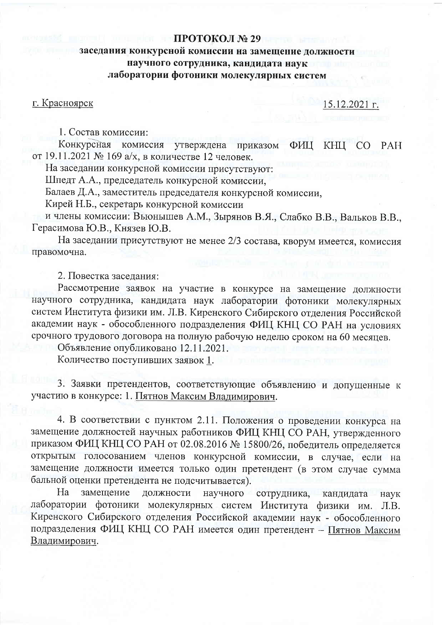## ПРОТОКОЛ № 29

## заседания конкурсной комиссии на замещение должности научного сотрудника, кандидата наук лаборатории фотоники молекулярных систем

г. Красноярск

15.12.2021 г.

1. Состав комиссии:

Конкурсная комиссия утверждена приказом ФИЦ KHII CO PAH от 19.11.2021 № 169 а/х, в количестве 12 человек.

На заседании конкурсной комиссии присутствуют:

Шпедт А.А., председатель конкурсной комиссии,

Балаев Д.А., заместитель председателя конкурсной комиссии,

Кирей Н.Б., секретарь конкурсной комиссии

и члены комиссии: Вьюнышев А.М., Зырянов В.Я., Слабко В.В., Вальков В.В., Герасимова Ю.В., Князев Ю.В.

На заседании присутствуют не менее 2/3 состава, кворум имеется, комиссия правомочна.

2. Повестка заселания:

Рассмотрение заявок на участие в конкурсе на замещение должности научного сотрудника, кандидата наук лаборатории фотоники молекулярных систем Института физики им. Л.В. Киренского Сибирского отделения Российской академии наук - обособленного подразделения ФИЦ КНЦ СО РАН на условиях срочного трудового договора на полную рабочую неделю сроком на 60 месяцев. Объявление опубликовано 12.11.2021.

Количество поступивших заявок 1.

3. Заявки претендентов, соответствующие объявлению и допущенные к участию в конкурсе: 1. Пятнов Максим Владимирович.

4. В соответствии с пунктом 2.11. Положения о проведении конкурса на замещение должностей научных работников ФИЦ КНЦ СО РАН, утвержденного приказом ФИЦ КНЦ СО РАН от 02.08.2016 № 15800/26, победитель определяется открытым голосованием членов конкурсной комиссии, в случае, если на замещение должности имеется только один претендент (в этом случае сумма бальной оценки претендента не подсчитывается).

 $Ha$ замещение должности научного сотрудника, кандидата наук лаборатории фотоники молекулярных систем Института физики им.  $JIB.$ Киренского Сибирского отделения Российской академии наук - обособленного подразделения ФИЦ КНЦ СО РАН имеется один претендент - Пятнов Максим Владимирович.